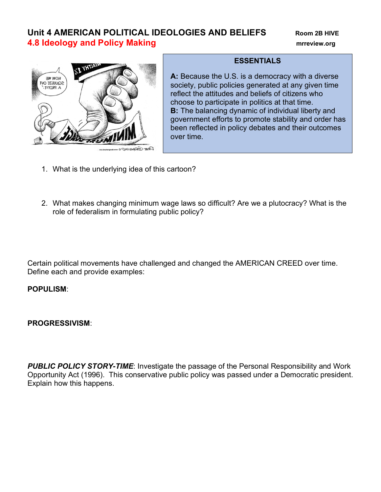# **Unit 4 AMERICAN POLITICAL IDEOLOGIES AND BELIEFS Room 2B HIVE 4.8 Ideology and Policy Making mrreview.org**



### **ESSENTIALS**

**A:** Because the U.S. is a democracy with a diverse society, public policies generated at any given time reflect the attitudes and beliefs of citizens who choose to participate in politics at that time. **B:** The balancing dynamic of individual liberty and government efforts to promote stability and order has been reflected in policy debates and their outcomes over time.

- 1. What is the underlying idea of this cartoon?
- 2. What makes changing minimum wage laws so difficult? Are we a plutocracy? What is the role of federalism in formulating public policy?

Certain political movements have challenged and changed the AMERICAN CREED over time. Define each and provide examples:

### **POPULISM**:

**PROGRESSIVISM**:

**PUBLIC POLICY STORY-TIME:** Investigate the passage of the Personal Responsibility and Work Opportunity Act (1996). This conservative public policy was passed under a Democratic president. Explain how this happens.